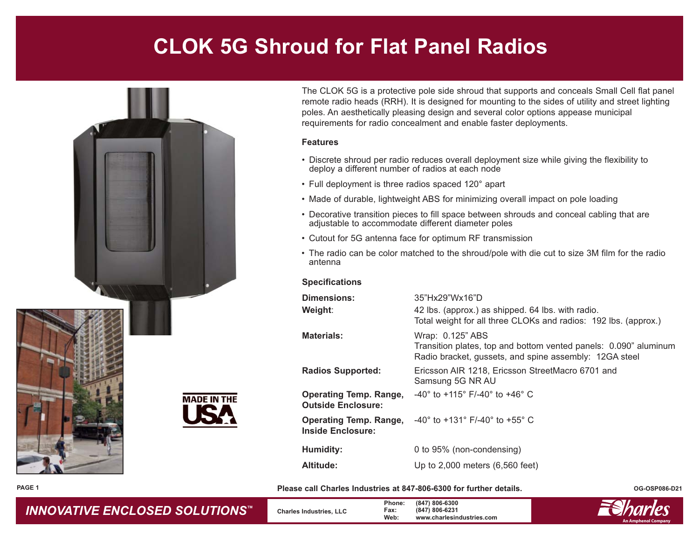## **CLOK 5G Shroud for Flat Panel Radios**



The CLOK 5G is a protective pole side shroud that supports and conceals Small Cell flat panel remote radio heads (RRH). It is designed for mounting to the sides of utility and street lighting poles. An aesthetically pleasing design and several color options appease municipal requirements for radio concealment and enable faster deployments.

## **Features**

- Discrete shroud per radio reduces overall deployment size while giving the flexibility to deploy a different number of radios at each node
- Full deployment is three radios spaced 120° apart
- Made of durable, lightweight ABS for minimizing overall impact on pole loading
- Decorative transition pieces to fill space between shrouds and conceal cabling that are adjustable to accommodate different diameter poles
- Cutout for 5G antenna face for optimum RF transmission
- The radio can be color matched to the shroud/pole with die cut to size 3M film for the radio antenna

## **Specifications**

| Dimensions:<br>Weight:                                     | 35"Hx29"Wx16"D<br>42 lbs. (approx.) as shipped. 64 lbs. with radio.<br>Total weight for all three CLOKs and radios: 192 lbs. (approx.)         |
|------------------------------------------------------------|------------------------------------------------------------------------------------------------------------------------------------------------|
| <b>Materials:</b>                                          | Wrap: 0.125" ABS<br>Transition plates, top and bottom vented panels: 0.090" aluminum<br>Radio bracket, gussets, and spine assembly: 12GA steel |
| <b>Radios Supported:</b>                                   | Ericsson AIR 1218, Ericsson StreetMacro 6701 and<br>Samsung 5G NR AU                                                                           |
| <b>Operating Temp. Range,</b><br><b>Outside Enclosure:</b> | $-40^{\circ}$ to +115° F/-40° to +46° C                                                                                                        |
| <b>Operating Temp. Range,</b><br>Inside Enclosure:         | $-40^{\circ}$ to $+131^{\circ}$ F/-40° to $+55^{\circ}$ C                                                                                      |
| Humidity:                                                  | 0 to 95% (non-condensing)                                                                                                                      |
| Altitude:                                                  | Up to $2,000$ meters $(6,560$ feet)                                                                                                            |

**Please call Charles Industries at 847-806-6300 for further details.**

**OG-OSP086-D21**